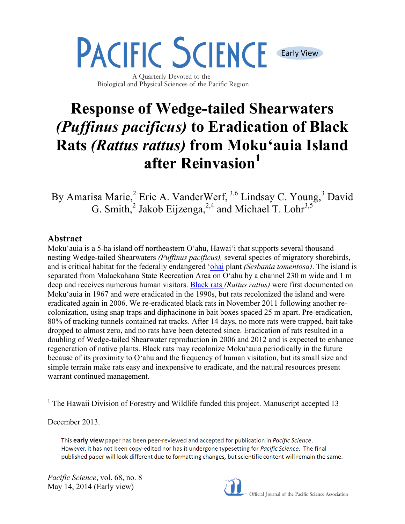**Early View** 

A Quarterly Devoted to the Biological and Physical Sciences of the Pacific Region

**PACIFIC SCIENCE** 

# **Response of Wedge-tailed Shearwaters**  *(Puffinus pacificus)* **to Eradication of Black Rats** *(Rattus rattus)* **from Moku'auia Island after Reinvasion**<sup>1</sup>

By Amarisa Marie,<sup>2</sup> Eric A. VanderWerf, <sup>3,6</sup> Lindsay C. Young, <sup>3</sup> David G. Smith,<sup>2</sup> Jakob Eijzenga,<sup>2,4</sup> and Michael T. Lohr<sup>3,5</sup>

# **Abstract**

Moku'auia is a 5-ha island off northeastern O'ahu, Hawai'i that supports several thousand nesting Wedge-tailed Shearwaters *(Puffinus pacificus),* several species of migratory shorebirds, and is critical habitat for the federally endangered 'ohai plant *(Sesbania tomentosa)*. The island is separated from Malaekahana State Recreation Area on O'ahu by a channel 230 m wide and 1 m deep and receives numerous human visitors. Black rats *(Rattus rattus)* were first documented on Moku'auia in 1967 and were eradicated in the 1990s, but rats recolonized the island and were eradicated again in 2006. We re-eradicated black rats in November 2011 following another recolonization, using snap traps and diphacinone in bait boxes spaced 25 m apart. Pre-eradication, 80% of tracking tunnels contained rat tracks. After 14 days, no more rats were trapped, bait take dropped to almost zero, and no rats have been detected since. Eradication of rats resulted in a doubling of Wedge-tailed Shearwater reproduction in 2006 and 2012 and is expected to enhance regeneration of native plants. Black rats may recolonize Moku'auia periodically in the future because of its proximity to O'ahu and the frequency of human visitation, but its small size and simple terrain make rats easy and inexpensive to eradicate, and the natural resources present warrant continued management.

<sup>1</sup> The Hawaii Division of Forestry and Wildlife funded this project. Manuscript accepted 13

December 2013.

This early view paper has been peer-reviewed and accepted for publication in Pacific Science. However, it has not been copy-edited nor has it undergone typesetting for Pacific Science. The final published paper will look different due to formatting changes, but scientific content will remain the same.

*Pacific Science*, vol. 68, no. 8 May 14, 2014 (Early view)

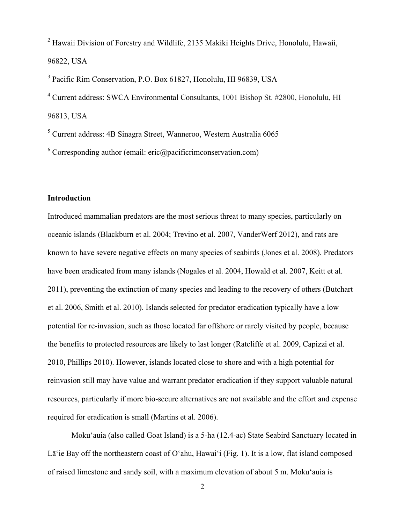<sup>2</sup> Hawaii Division of Forestry and Wildlife, 2135 Makiki Heights Drive, Honolulu, Hawaii, 96822, USA

3 Pacific Rim Conservation, P.O. Box 61827, Honolulu, HI 96839, USA

4 Current address: SWCA Environmental Consultants, 1001 Bishop St. #2800, Honolulu, HI 96813, USA

5 Current address: 4B Sinagra Street, Wanneroo, Western Australia 6065

<sup>6</sup> Corresponding author (email: eric@pacificrimconservation.com)

# **Introduction**

Introduced mammalian predators are the most serious threat to many species, particularly on oceanic islands (Blackburn et al. 2004; Trevino et al. 2007, VanderWerf 2012), and rats are known to have severe negative effects on many species of seabirds (Jones et al. 2008). Predators have been eradicated from many islands (Nogales et al. 2004, Howald et al. 2007, Keitt et al. 2011), preventing the extinction of many species and leading to the recovery of others (Butchart et al. 2006, Smith et al. 2010). Islands selected for predator eradication typically have a low potential for re-invasion, such as those located far offshore or rarely visited by people, because the benefits to protected resources are likely to last longer (Ratcliffe et al. 2009, Capizzi et al. 2010, Phillips 2010). However, islands located close to shore and with a high potential for reinvasion still may have value and warrant predator eradication if they support valuable natural resources, particularly if more bio-secure alternatives are not available and the effort and expense required for eradication is small (Martins et al. 2006).

 Moku'auia (also called Goat Island) is a 5-ha (12.4-ac) State Seabird Sanctuary located in Lā'ie Bay off the northeastern coast of O'ahu, Hawai'i (Fig. 1). It is a low, flat island composed of raised limestone and sandy soil, with a maximum elevation of about 5 m. Moku'auia is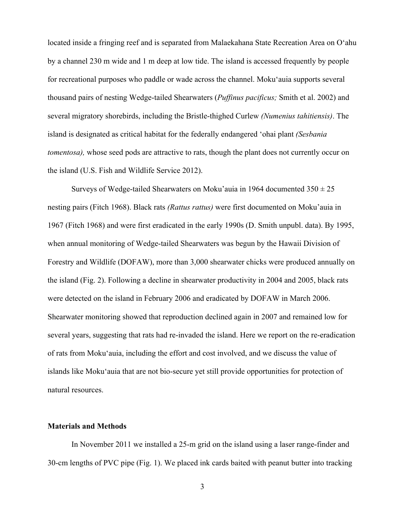located inside a fringing reef and is separated from Malaekahana State Recreation Area on O'ahu by a channel 230 m wide and 1 m deep at low tide. The island is accessed frequently by people for recreational purposes who paddle or wade across the channel. Moku'auia supports several thousand pairs of nesting Wedge-tailed Shearwaters (*Puffinus pacificus;* Smith et al. 2002) and several migratory shorebirds, including the Bristle-thighed Curlew *(Numenius tahitiensis)*. The island is designated as critical habitat for the federally endangered 'ohai plant *(Sesbania tomentosa*), whose seed pods are attractive to rats, though the plant does not currently occur on the island (U.S. Fish and Wildlife Service 2012).

Surveys of Wedge-tailed Shearwaters on Moku'auia in 1964 documented  $350 \pm 25$ nesting pairs (Fitch 1968). Black rats *(Rattus rattus)* were first documented on Moku'auia in 1967 (Fitch 1968) and were first eradicated in the early 1990s (D. Smith unpubl. data). By 1995, when annual monitoring of Wedge-tailed Shearwaters was begun by the Hawaii Division of Forestry and Wildlife (DOFAW), more than 3,000 shearwater chicks were produced annually on the island (Fig. 2). Following a decline in shearwater productivity in 2004 and 2005, black rats were detected on the island in February 2006 and eradicated by DOFAW in March 2006. Shearwater monitoring showed that reproduction declined again in 2007 and remained low for several years, suggesting that rats had re-invaded the island. Here we report on the re-eradication of rats from Moku'auia, including the effort and cost involved, and we discuss the value of islands like Moku'auia that are not bio-secure yet still provide opportunities for protection of natural resources.

#### **Materials and Methods**

 In November 2011 we installed a 25-m grid on the island using a laser range-finder and 30-cm lengths of PVC pipe (Fig. 1). We placed ink cards baited with peanut butter into tracking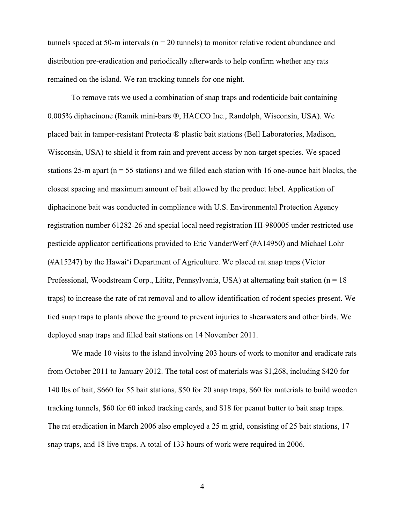tunnels spaced at 50-m intervals ( $n = 20$  tunnels) to monitor relative rodent abundance and distribution pre-eradication and periodically afterwards to help confirm whether any rats remained on the island. We ran tracking tunnels for one night.

 To remove rats we used a combination of snap traps and rodenticide bait containing 0.005% diphacinone (Ramik mini-bars ®, HACCO Inc., Randolph, Wisconsin, USA). We placed bait in tamper-resistant Protecta ® plastic bait stations (Bell Laboratories, Madison, Wisconsin, USA) to shield it from rain and prevent access by non-target species. We spaced stations 25-m apart ( $n = 55$  stations) and we filled each station with 16 one-ounce bait blocks, the closest spacing and maximum amount of bait allowed by the product label. Application of diphacinone bait was conducted in compliance with U.S. Environmental Protection Agency registration number 61282-26 and special local need registration HI-980005 under restricted use pesticide applicator certifications provided to Eric VanderWerf (#A14950) and Michael Lohr (#A15247) by the Hawai'i Department of Agriculture. We placed rat snap traps (Victor Professional, Woodstream Corp., Lititz, Pennsylvania, USA) at alternating bait station (n = 18 traps) to increase the rate of rat removal and to allow identification of rodent species present. We tied snap traps to plants above the ground to prevent injuries to shearwaters and other birds. We deployed snap traps and filled bait stations on 14 November 2011.

We made 10 visits to the island involving 203 hours of work to monitor and eradicate rats from October 2011 to January 2012. The total cost of materials was \$1,268, including \$420 for 140 lbs of bait, \$660 for 55 bait stations, \$50 for 20 snap traps, \$60 for materials to build wooden tracking tunnels, \$60 for 60 inked tracking cards, and \$18 for peanut butter to bait snap traps. The rat eradication in March 2006 also employed a 25 m grid, consisting of 25 bait stations, 17 snap traps, and 18 live traps. A total of 133 hours of work were required in 2006.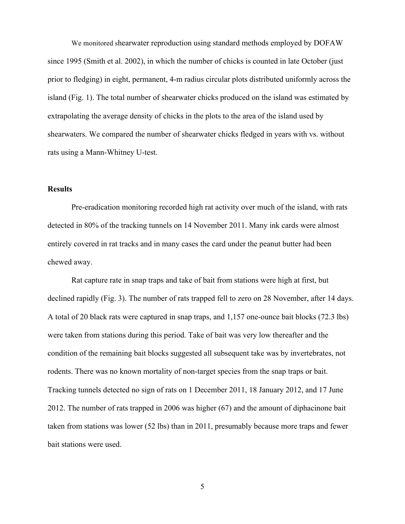We monitored shearwater reproduction using standard methods employed by DOFAW since 1995 (Smith et al. 2002), in which the number of chicks is counted in late October (just prior to fledging) in eight, permanent, 4-m radius circular plots distributed uniformly across the island (Fig. 1). The total number of shearwater chicks produced on the island was estimated by extrapolating the average density of chicks in the plots to the area of the island used by shearwaters. We compared the number of shearwater chicks fledged in years with vs. without rats using a Mann-Whitney U-test.

#### **Results**

 Pre-eradication monitoring recorded high rat activity over much of the island, with rats detected in 80% of the tracking tunnels on 14 November 2011. Many ink cards were almost entirely covered in rat tracks and in many cases the card under the peanut butter had been chewed away.

 Rat capture rate in snap traps and take of bait from stations were high at first, but declined rapidly (Fig. 3). The number of rats trapped fell to zero on 28 November, after 14 days. A total of 20 black rats were captured in snap traps, and 1,157 one-ounce bait blocks (72.3 lbs) were taken from stations during this period. Take of bait was very low thereafter and the condition of the remaining bait blocks suggested all subsequent take was by invertebrates, not rodents. There was no known mortality of non-target species from the snap traps or bait. Tracking tunnels detected no sign of rats on 1 December 2011, 18 January 2012, and 17 June 2012. The number of rats trapped in 2006 was higher (67) and the amount of diphacinone bait taken from stations was lower (52 lbs) than in 2011, presumably because more traps and fewer bait stations were used.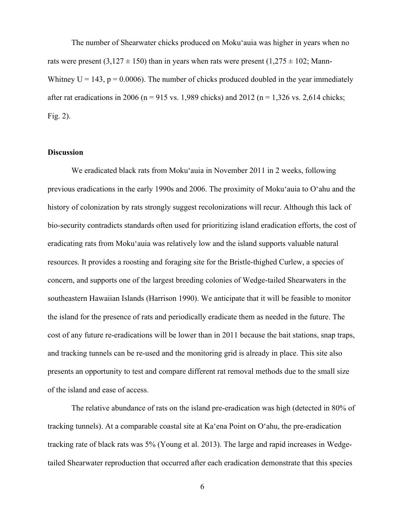The number of Shearwater chicks produced on Moku'auia was higher in years when no rats were present (3,127  $\pm$  150) than in years when rats were present (1,275  $\pm$  102; Mann-Whitney  $U = 143$ ,  $p = 0.0006$ ). The number of chicks produced doubled in the year immediately after rat eradications in 2006 (n = 915 vs. 1,989 chicks) and 2012 (n = 1,326 vs. 2,614 chicks; Fig. 2).

#### **Discussion**

 We eradicated black rats from Moku'auia in November 2011 in 2 weeks, following previous eradications in the early 1990s and 2006. The proximity of Moku'auia to O'ahu and the history of colonization by rats strongly suggest recolonizations will recur. Although this lack of bio-security contradicts standards often used for prioritizing island eradication efforts, the cost of eradicating rats from Moku'auia was relatively low and the island supports valuable natural resources. It provides a roosting and foraging site for the Bristle-thighed Curlew, a species of concern, and supports one of the largest breeding colonies of Wedge-tailed Shearwaters in the southeastern Hawaiian Islands (Harrison 1990). We anticipate that it will be feasible to monitor the island for the presence of rats and periodically eradicate them as needed in the future. The cost of any future re-eradications will be lower than in 2011 because the bait stations, snap traps, and tracking tunnels can be re-used and the monitoring grid is already in place. This site also presents an opportunity to test and compare different rat removal methods due to the small size of the island and ease of access.

 The relative abundance of rats on the island pre-eradication was high (detected in 80% of tracking tunnels). At a comparable coastal site at Ka'ena Point on O'ahu, the pre-eradication tracking rate of black rats was 5% (Young et al. 2013). The large and rapid increases in Wedgetailed Shearwater reproduction that occurred after each eradication demonstrate that this species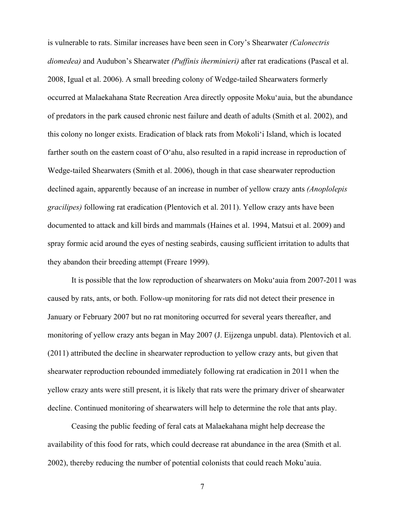is vulnerable to rats. Similar increases have been seen in Cory's Shearwater *(Calonectris diomedea)* and Audubon's Shearwater *(Puffinis iherminieri)* after rat eradications (Pascal et al. 2008, Igual et al. 2006). A small breeding colony of Wedge-tailed Shearwaters formerly occurred at Malaekahana State Recreation Area directly opposite Moku'auia, but the abundance of predators in the park caused chronic nest failure and death of adults (Smith et al. 2002), and this colony no longer exists. Eradication of black rats from Mokoli'i Island, which is located farther south on the eastern coast of O'ahu, also resulted in a rapid increase in reproduction of Wedge-tailed Shearwaters (Smith et al. 2006), though in that case shearwater reproduction declined again, apparently because of an increase in number of yellow crazy ants *(Anoplolepis gracilipes)* following rat eradication (Plentovich et al. 2011). Yellow crazy ants have been documented to attack and kill birds and mammals (Haines et al. 1994, Matsui et al. 2009) and spray formic acid around the eyes of nesting seabirds, causing sufficient irritation to adults that they abandon their breeding attempt (Freare 1999).

 It is possible that the low reproduction of shearwaters on Moku'auia from 2007-2011 was caused by rats, ants, or both. Follow-up monitoring for rats did not detect their presence in January or February 2007 but no rat monitoring occurred for several years thereafter, and monitoring of yellow crazy ants began in May 2007 (J. Eijzenga unpubl. data). Plentovich et al. (2011) attributed the decline in shearwater reproduction to yellow crazy ants, but given that shearwater reproduction rebounded immediately following rat eradication in 2011 when the yellow crazy ants were still present, it is likely that rats were the primary driver of shearwater decline. Continued monitoring of shearwaters will help to determine the role that ants play.

 Ceasing the public feeding of feral cats at Malaekahana might help decrease the availability of this food for rats, which could decrease rat abundance in the area (Smith et al. 2002), thereby reducing the number of potential colonists that could reach Moku'auia.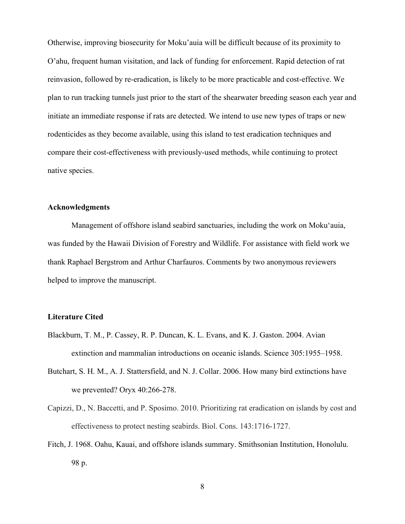Otherwise, improving biosecurity for Moku'auia will be difficult because of its proximity to O'ahu, frequent human visitation, and lack of funding for enforcement. Rapid detection of rat reinvasion, followed by re-eradication, is likely to be more practicable and cost-effective. We plan to run tracking tunnels just prior to the start of the shearwater breeding season each year and initiate an immediate response if rats are detected. We intend to use new types of traps or new rodenticides as they become available, using this island to test eradication techniques and compare their cost-effectiveness with previously-used methods, while continuing to protect native species.

## **Acknowledgments**

 Management of offshore island seabird sanctuaries, including the work on Moku'auia, was funded by the Hawaii Division of Forestry and Wildlife. For assistance with field work we thank Raphael Bergstrom and Arthur Charfauros. Comments by two anonymous reviewers helped to improve the manuscript.

### **Literature Cited**

- Blackburn, T. M., P. Cassey, R. P. Duncan, K. L. Evans, and K. J. Gaston. 2004. Avian extinction and mammalian introductions on oceanic islands. Science 305:1955–1958.
- Butchart, S. H. M., A. J. Stattersfield, and N. J. Collar. 2006. How many bird extinctions have we prevented? Oryx 40:266-278.
- Capizzi, D., N. Baccetti, and P. Sposimo. 2010. Prioritizing rat eradication on islands by cost and effectiveness to protect nesting seabirds. Biol. Cons. 143:1716-1727.
- Fitch, J. 1968. Oahu, Kauai, and offshore islands summary. Smithsonian Institution, Honolulu. 98 p.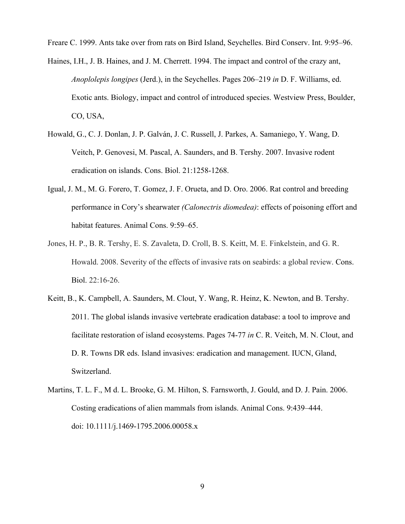Freare C. 1999. Ants take over from rats on Bird Island, Seychelles. Bird Conserv. Int. 9:95–96.

- Haines, I.H., J. B. Haines, and J. M. Cherrett. 1994. The impact and control of the crazy ant, *Anoplolepis longipes* (Jerd.), in the Seychelles. Pages 206–219 *in* D. F. Williams, ed. Exotic ants. Biology, impact and control of introduced species. Westview Press, Boulder, CO, USA,
- Howald, G., C. J. Donlan, J. P. Galván, J. C. Russell, J. Parkes, A. Samaniego, Y. Wang, D. Veitch, P. Genovesi, M. Pascal, A. Saunders, and B. Tershy. 2007. Invasive rodent eradication on islands. Cons. Biol. 21:1258-1268.
- Igual, J. M., M. G. Forero, T. Gomez, J. F. Orueta, and D. Oro. 2006. Rat control and breeding performance in Cory's shearwater *(Calonectris diomedea)*: effects of poisoning effort and habitat features. Animal Cons. 9:59–65.
- Jones, H. P., B. R. Tershy, E. S. Zavaleta, D. Croll, B. S. Keitt, M. E. Finkelstein, and G. R. Howald. 2008. Severity of the effects of invasive rats on seabirds: a global review. Cons. Biol. 22:16-26.
- Keitt, B., K. Campbell, A. Saunders, M. Clout, Y. Wang, R. Heinz, K. Newton, and B. Tershy. 2011. The global islands invasive vertebrate eradication database: a tool to improve and facilitate restoration of island ecosystems. Pages 74-77 *in* C. R. Veitch, M. N. Clout, and D. R. Towns DR eds. Island invasives: eradication and management. IUCN, Gland, Switzerland.
- Martins, T. L. F., M d. L. Brooke, G. M. Hilton, S. Farnsworth, J. Gould, and D. J. Pain. 2006. Costing eradications of alien mammals from islands. Animal Cons. 9:439–444. doi: 10.1111/j.1469-1795.2006.00058.x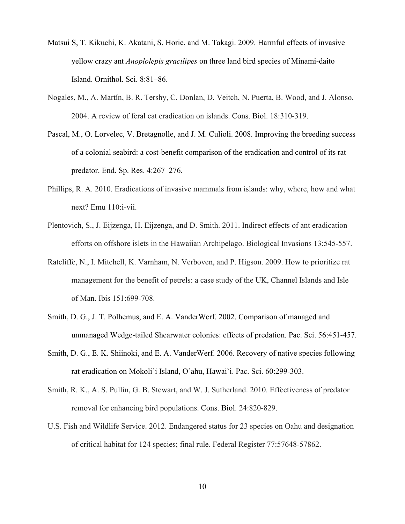- Matsui S, T. Kikuchi, K. Akatani, S. Horie, and M. Takagi. 2009. Harmful effects of invasive yellow crazy ant *Anoplolepis gracilipes* on three land bird species of Minami-daito Island. Ornithol. Sci. 8:81–86.
- Nogales, M., A. Martín, B. R. Tershy, C. Donlan, D. Veitch, N. Puerta, B. Wood, and J. Alonso. 2004. A review of feral cat eradication on islands. Cons. Biol. 18:310-319.
- Pascal, M., O. Lorvelec, V. Bretagnolle, and J. M. Culioli. 2008. Improving the breeding success of a colonial seabird: a cost-benefit comparison of the eradication and control of its rat predator. End. Sp. Res. 4:267–276.
- Phillips, R. A. 2010. Eradications of invasive mammals from islands: why, where, how and what next? Emu 110:i-vii.
- Plentovich, S., J. Eijzenga, H. Eijzenga, and D. Smith. 2011. Indirect effects of ant eradication efforts on offshore islets in the Hawaiian Archipelago. Biological Invasions 13:545-557.
- Ratcliffe, N., I. Mitchell, K. Varnham, N. Verboven, and P. Higson. 2009. How to prioritize rat management for the benefit of petrels: a case study of the UK, Channel Islands and Isle of Man. Ibis 151:699-708.
- Smith, D. G., J. T. Polhemus, and E. A. VanderWerf. 2002. Comparison of managed and unmanaged Wedge-tailed Shearwater colonies: effects of predation. Pac. Sci. 56:451-457.
- Smith, D. G., E. K. Shiinoki, and E. A. VanderWerf. 2006. Recovery of native species following rat eradication on Mokoli'i Island, O'ahu, Hawai`i. Pac. Sci. 60:299-303.
- Smith, R. K., A. S. Pullin, G. B. Stewart, and W. J. Sutherland. 2010. Effectiveness of predator removal for enhancing bird populations. Cons. Biol. 24:820-829.
- U.S. Fish and Wildlife Service. 2012. Endangered status for 23 species on Oahu and designation of critical habitat for 124 species; final rule. Federal Register 77:57648-57862.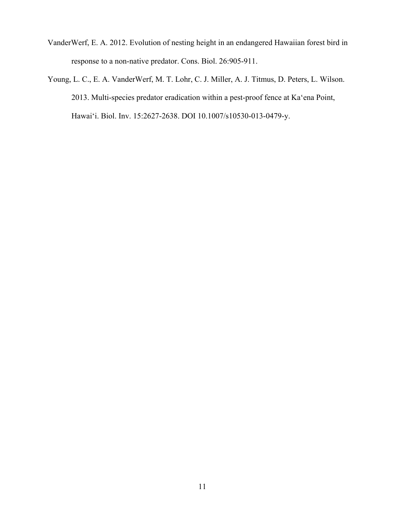- VanderWerf, E. A. 2012. Evolution of nesting height in an endangered Hawaiian forest bird in response to a non-native predator. Cons. Biol. 26:905-911.
- Young, L. C., E. A. VanderWerf, M. T. Lohr, C. J. Miller, A. J. Titmus, D. Peters, L. Wilson. 2013. Multi-species predator eradication within a pest-proof fence at Ka'ena Point, Hawai'i. Biol. Inv. 15:2627-2638. DOI 10.1007/s10530-013-0479-y.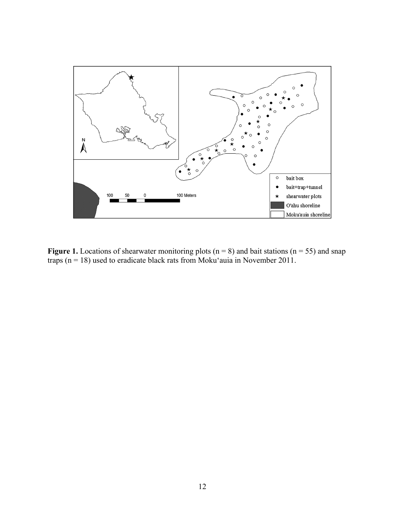

**Figure 1.** Locations of shearwater monitoring plots ( $n = 8$ ) and bait stations ( $n = 55$ ) and snap traps ( $n = 18$ ) used to eradicate black rats from Moku'auia in November 2011.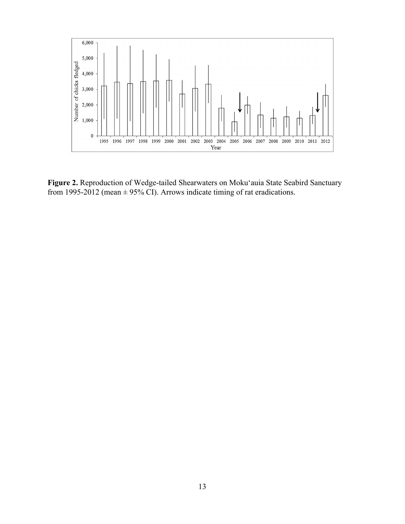

**Figure 2.** Reproduction of Wedge-tailed Shearwaters on Moku'auia State Seabird Sanctuary from 1995-2012 (mean  $\pm$  95% CI). Arrows indicate timing of rat eradications.